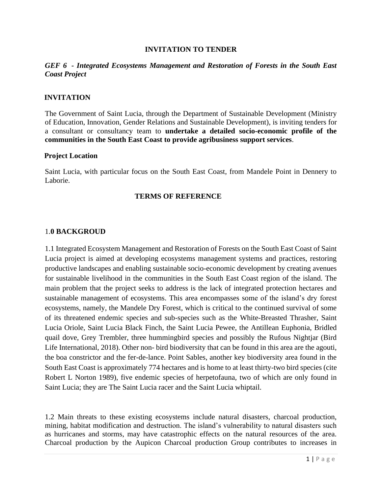#### **INVITATION TO TENDER**

#### *GEF 6 - Integrated Ecosystems Management and Restoration of Forests in the South East Coast Project*

#### **INVITATION**

The Government of Saint Lucia, through the Department of Sustainable Development (Ministry of Education, Innovation, Gender Relations and Sustainable Development), is inviting tenders for a consultant or consultancy team to **undertake a detailed socio-economic profile of the communities in the South East Coast to provide agribusiness support services**.

#### **Project Location**

Saint Lucia, with particular focus on the South East Coast, from Mandele Point in Dennery to Laborie.

#### **TERMS OF REFERENCE**

#### 1.**0 BACKGROUD**

1.1 Integrated Ecosystem Management and Restoration of Forests on the South East Coast of Saint Lucia project is aimed at developing ecosystems management systems and practices, restoring productive landscapes and enabling sustainable socio-economic development by creating avenues for sustainable livelihood in the communities in the South East Coast region of the island. The main problem that the project seeks to address is the lack of integrated protection hectares and sustainable management of ecosystems. This area encompasses some of the island's dry forest ecosystems, namely, the Mandele Dry Forest, which is critical to the continued survival of some of its threatened endemic species and sub-species such as the White-Breasted Thrasher, Saint Lucia Oriole, Saint Lucia Black Finch, the Saint Lucia Pewee, the Antillean Euphonia, Bridled quail dove, Grey Trembler, three hummingbird species and possibly the Rufous Nightjar (Bird Life International, 2018). Other non- bird biodiversity that can be found in this area are the agouti, the boa constrictor and the fer-de-lance. Point Sables, another key biodiversity area found in the South East Coast is approximately 774 hectares and is home to at least thirty-two bird species (cite Robert L Norton 1989), five endemic species of herpetofauna, two of which are only found in Saint Lucia; they are The Saint Lucia racer and the Saint Lucia whiptail.

1.2 Main threats to these existing ecosystems include natural disasters, charcoal production, mining, habitat modification and destruction. The island's vulnerability to natural disasters such as hurricanes and storms, may have catastrophic effects on the natural resources of the area. Charcoal production by the Aupicon Charcoal production Group contributes to increases in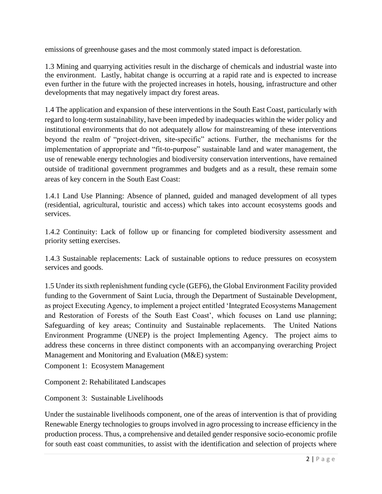emissions of greenhouse gases and the most commonly stated impact is deforestation.

1.3 Mining and quarrying activities result in the discharge of chemicals and industrial waste into the environment. Lastly, habitat change is occurring at a rapid rate and is expected to increase even further in the future with the projected increases in hotels, housing, infrastructure and other developments that may negatively impact dry forest areas.

1.4 The application and expansion of these interventions in the South East Coast, particularly with regard to long-term sustainability, have been impeded by inadequacies within the wider policy and institutional environments that do not adequately allow for mainstreaming of these interventions beyond the realm of "project-driven, site-specific" actions. Further, the mechanisms for the implementation of appropriate and "fit-to-purpose" sustainable land and water management, the use of renewable energy technologies and biodiversity conservation interventions, have remained outside of traditional government programmes and budgets and as a result, these remain some areas of key concern in the South East Coast:

1.4.1 Land Use Planning: Absence of planned, guided and managed development of all types (residential, agricultural, touristic and access) which takes into account ecosystems goods and services.

1.4.2 Continuity: Lack of follow up or financing for completed biodiversity assessment and priority setting exercises.

1.4.3 Sustainable replacements: Lack of sustainable options to reduce pressures on ecosystem services and goods.

1.5 Under its sixth replenishment funding cycle (GEF6), the Global Environment Facility provided funding to the Government of Saint Lucia, through the Department of Sustainable Development, as project Executing Agency, to implement a project entitled 'Integrated Ecosystems Management and Restoration of Forests of the South East Coast', which focuses on Land use planning; Safeguarding of key areas; Continuity and Sustainable replacements. The United Nations Environment Programme (UNEP) is the project Implementing Agency. The project aims to address these concerns in three distinct components with an accompanying overarching Project Management and Monitoring and Evaluation (M&E) system:

Component 1: Ecosystem Management

Component 2: Rehabilitated Landscapes

Component 3: Sustainable Livelihoods

Under the sustainable livelihoods component, one of the areas of intervention is that of providing Renewable Energy technologies to groups involved in agro processing to increase efficiency in the production process. Thus, a comprehensive and detailed gender responsive socio-economic profile for south east coast communities, to assist with the identification and selection of projects where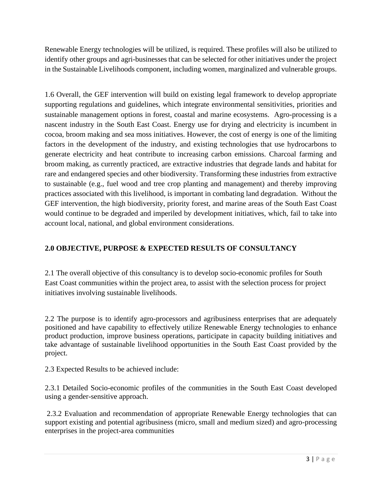Renewable Energy technologies will be utilized, is required. These profiles will also be utilized to identify other groups and agri-businesses that can be selected for other initiatives under the project in the Sustainable Livelihoods component, including women, marginalized and vulnerable groups.

1.6 Overall, the GEF intervention will build on existing legal framework to develop appropriate supporting regulations and guidelines, which integrate environmental sensitivities, priorities and sustainable management options in forest, coastal and marine ecosystems. Agro-processing is a nascent industry in the South East Coast. Energy use for drying and electricity is incumbent in cocoa, broom making and sea moss initiatives. However, the cost of energy is one of the limiting factors in the development of the industry, and existing technologies that use hydrocarbons to generate electricity and heat contribute to increasing carbon emissions. Charcoal farming and broom making, as currently practiced, are extractive industries that degrade lands and habitat for rare and endangered species and other biodiversity. Transforming these industries from extractive to sustainable (e.g., fuel wood and tree crop planting and management) and thereby improving practices associated with this livelihood, is important in combating land degradation. Without the GEF intervention, the high biodiversity, priority forest, and marine areas of the South East Coast would continue to be degraded and imperiled by development initiatives, which, fail to take into account local, national, and global environment considerations.

# **2.0 OBJECTIVE, PURPOSE & EXPECTED RESULTS OF CONSULTANCY**

2.1 The overall objective of this consultancy is to develop socio-economic profiles for South East Coast communities within the project area, to assist with the selection process for project initiatives involving sustainable livelihoods.

2.2 The purpose is to identify agro-processors and agribusiness enterprises that are adequately positioned and have capability to effectively utilize Renewable Energy technologies to enhance product production, improve business operations, participate in capacity building initiatives and take advantage of sustainable livelihood opportunities in the South East Coast provided by the project.

2.3 Expected Results to be achieved include:

2.3.1 Detailed Socio-economic profiles of the communities in the South East Coast developed using a gender-sensitive approach.

2.3.2 Evaluation and recommendation of appropriate Renewable Energy technologies that can support existing and potential agribusiness (micro, small and medium sized) and agro-processing enterprises in the project-area communities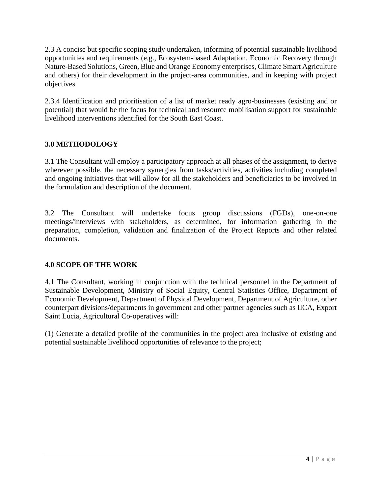2.3 A concise but specific scoping study undertaken, informing of potential sustainable livelihood opportunities and requirements (e.g., Ecosystem-based Adaptation, Economic Recovery through Nature-Based Solutions, Green, Blue and Orange Economy enterprises, Climate Smart Agriculture and others) for their development in the project-area communities, and in keeping with project objectives

2.3.4 Identification and prioritisation of a list of market ready agro-businesses (existing and or potential) that would be the focus for technical and resource mobilisation support for sustainable livelihood interventions identified for the South East Coast.

# **3.0 METHODOLOGY**

3.1 The Consultant will employ a participatory approach at all phases of the assignment, to derive wherever possible, the necessary synergies from tasks/activities, activities including completed and ongoing initiatives that will allow for all the stakeholders and beneficiaries to be involved in the formulation and description of the document.

3.2 The Consultant will undertake focus group discussions (FGDs), one-on-one meetings/interviews with stakeholders, as determined, for information gathering in the preparation, completion, validation and finalization of the Project Reports and other related documents.

### **4.0 SCOPE OF THE WORK**

4.1 The Consultant, working in conjunction with the technical personnel in the Department of Sustainable Development, Ministry of Social Equity, Central Statistics Office, Department of Economic Development, Department of Physical Development, Department of Agriculture, other counterpart divisions/departments in government and other partner agencies such as IICA, Export Saint Lucia, Agricultural Co-operatives will:

(1) Generate a detailed profile of the communities in the project area inclusive of existing and potential sustainable livelihood opportunities of relevance to the project;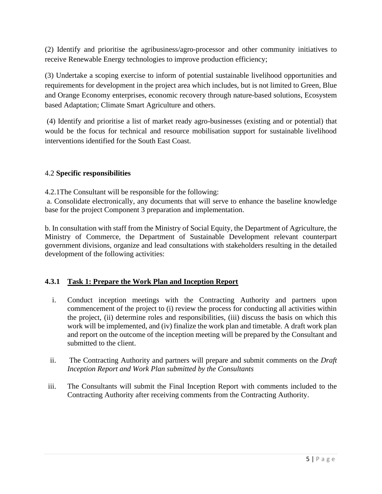(2) Identify and prioritise the agribusiness/agro-processor and other community initiatives to receive Renewable Energy technologies to improve production efficiency;

(3) Undertake a scoping exercise to inform of potential sustainable livelihood opportunities and requirements for development in the project area which includes, but is not limited to Green, Blue and Orange Economy enterprises, economic recovery through nature-based solutions, Ecosystem based Adaptation; Climate Smart Agriculture and others.

(4) Identify and prioritise a list of market ready agro-businesses (existing and or potential) that would be the focus for technical and resource mobilisation support for sustainable livelihood interventions identified for the South East Coast.

## 4.2 **Specific responsibilities**

4.2.1The Consultant will be responsible for the following:

a. Consolidate electronically, any documents that will serve to enhance the baseline knowledge base for the project Component 3 preparation and implementation.

b. In consultation with staff from the Ministry of Social Equity, the Department of Agriculture, the Ministry of Commerce, the Department of Sustainable Development relevant counterpart government divisions, organize and lead consultations with stakeholders resulting in the detailed development of the following activities:

# **4.3.1 Task 1: Prepare the Work Plan and Inception Report**

- i. Conduct inception meetings with the Contracting Authority and partners upon commencement of the project to (i) review the process for conducting all activities within the project, (ii) determine roles and responsibilities, (iii) discuss the basis on which this work will be implemented, and (iv) finalize the work plan and timetable. A draft work plan and report on the outcome of the inception meeting will be prepared by the Consultant and submitted to the client.
- ii. The Contracting Authority and partners will prepare and submit comments on the *Draft Inception Report and Work Plan submitted by the Consultants*
- iii. The Consultants will submit the Final Inception Report with comments included to the Contracting Authority after receiving comments from the Contracting Authority.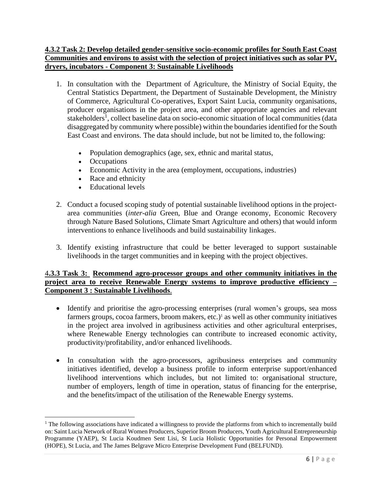## **4.3.2 Task 2: Develop detailed gender-sensitive socio-economic profiles for South East Coast Communities and environs to assist with the selection of project initiatives such as solar PV, dryers, incubators - Component 3: Sustainable Livelihoods**

- 1. In consultation with the Department of Agriculture, the Ministry of Social Equity, the Central Statistics Department, the Department of Sustainable Development, the Ministry of Commerce, Agricultural Co-operatives, Export Saint Lucia, community organisations, producer organisations in the project area, and other appropriate agencies and relevant stakeholders<sup>1</sup>, collect baseline data on socio-economic situation of local communities (data disaggregated by community where possible) within the boundaries identified for the South East Coast and environs. The data should include, but not be limited to, the following:
	- Population demographics (age, sex, ethnic and marital status,
	- Occupations
	- Economic Activity in the area (employment, occupations, industries)
	- Race and ethnicity
	- Educational levels
- 2. Conduct a focused scoping study of potential sustainable livelihood options in the projectarea communities (*inter-alia* Green, Blue and Orange economy, Economic Recovery through Nature Based Solutions, Climate Smart Agriculture and others) that would inform interventions to enhance livelihoods and build sustainability linkages.
- 3. Identify existing infrastructure that could be better leveraged to support sustainable livelihoods in the target communities and in keeping with the project objectives.

### 4**.3.3 Task 3: Recommend agro-processor groups and other community initiatives in the project area to receive Renewable Energy systems to improve productive efficiency – Component 3 : Sustainable Livelihoods**.

- Identify and prioritise the agro-processing enterprises (rural women's groups, sea moss farmers groups, cocoa farmers, broom makers, etc.) <sup>1</sup> as well as other community initiatives in the project area involved in agribusiness activities and other agricultural enterprises, where Renewable Energy technologies can contribute to increased economic activity, productivity/profitability, and/or enhanced livelihoods.
- In consultation with the agro-processors, agribusiness enterprises and community initiatives identified, develop a business profile to inform enterprise support/enhanced livelihood interventions which includes, but not limited to: organisational structure, number of employers, length of time in operation, status of financing for the enterprise, and the benefits/impact of the utilisation of the Renewable Energy systems.

<sup>&</sup>lt;sup>1</sup> The following associations have indicated a willingness to provide the platforms from which to incrementally build on: Saint Lucia Network of Rural Women Producers, Superior Broom Producers, Youth Agricultural Entrepreneurship Programme (YAEP), St Lucia Koudmen Sent Lisi, St Lucia Holistic Opportunities for Personal Empowerment (HOPE), St Lucia, and The James Belgrave Micro Enterprise Development Fund (BELFUND).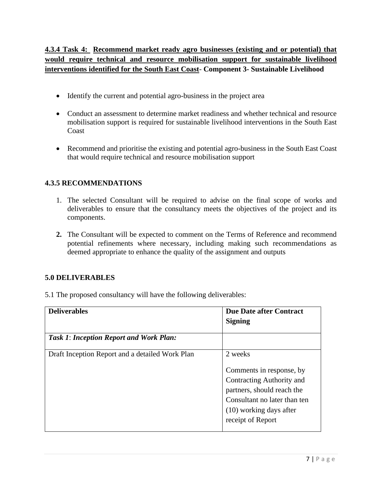# **4.3.4 Task 4: Recommend market ready agro businesses (existing and or potential) that would require technical and resource mobilisation support for sustainable livelihood interventions identified for the South East Coast**- **Component 3- Sustainable Livelihood**

- Identify the current and potential agro-business in the project area
- Conduct an assessment to determine market readiness and whether technical and resource mobilisation support is required for sustainable livelihood interventions in the South East Coast
- Recommend and prioritise the existing and potential agro-business in the South East Coast that would require technical and resource mobilisation support

## **4.3.5 RECOMMENDATIONS**

- 1. The selected Consultant will be required to advise on the final scope of works and deliverables to ensure that the consultancy meets the objectives of the project and its components.
- **2.** The Consultant will be expected to comment on the Terms of Reference and recommend potential refinements where necessary, including making such recommendations as deemed appropriate to enhance the quality of the assignment and outputs

### **5.0 DELIVERABLES**

5.1 The proposed consultancy will have the following deliverables:

| <b>Deliverables</b>                             | <b>Due Date after Contract</b><br><b>Signing</b>                                                                                                                               |
|-------------------------------------------------|--------------------------------------------------------------------------------------------------------------------------------------------------------------------------------|
| <b>Task 1: Inception Report and Work Plan:</b>  |                                                                                                                                                                                |
| Draft Inception Report and a detailed Work Plan | 2 weeks<br>Comments in response, by<br>Contracting Authority and<br>partners, should reach the<br>Consultant no later than ten<br>(10) working days after<br>receipt of Report |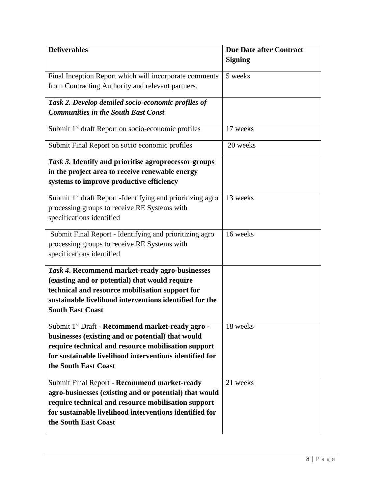| <b>Deliverables</b>                                                    | <b>Due Date after Contract</b> |
|------------------------------------------------------------------------|--------------------------------|
|                                                                        | <b>Signing</b>                 |
|                                                                        |                                |
| Final Inception Report which will incorporate comments                 | 5 weeks                        |
| from Contracting Authority and relevant partners.                      |                                |
| Task 2. Develop detailed socio-economic profiles of                    |                                |
| <b>Communities in the South East Coast</b>                             |                                |
| Submit 1 <sup>st</sup> draft Report on socio-economic profiles         | 17 weeks                       |
| Submit Final Report on socio economic profiles                         | 20 weeks                       |
| Task 3. Identify and prioritise agroprocessor groups                   |                                |
| in the project area to receive renewable energy                        |                                |
| systems to improve productive efficiency                               |                                |
| Submit 1 <sup>st</sup> draft Report -Identifying and prioritizing agro | 13 weeks                       |
| processing groups to receive RE Systems with                           |                                |
| specifications identified                                              |                                |
|                                                                        |                                |
| Submit Final Report - Identifying and prioritizing agro                | 16 weeks                       |
| processing groups to receive RE Systems with                           |                                |
| specifications identified                                              |                                |
| Task 4. Recommend market-ready agro-businesses                         |                                |
| (existing and or potential) that would require                         |                                |
| technical and resource mobilisation support for                        |                                |
| sustainable livelihood interventions identified for the                |                                |
| <b>South East Coast</b>                                                |                                |
| Submit 1 <sup>st</sup> Draft - Recommend market-ready agro -           | 18 weeks                       |
| businesses (existing and or potential) that would                      |                                |
| require technical and resource mobilisation support                    |                                |
| for sustainable livelihood interventions identified for                |                                |
| the South East Coast                                                   |                                |
| Submit Final Report - Recommend market-ready                           | 21 weeks                       |
| agro-businesses (existing and or potential) that would                 |                                |
| require technical and resource mobilisation support                    |                                |
| for sustainable livelihood interventions identified for                |                                |
| the South East Coast                                                   |                                |
|                                                                        |                                |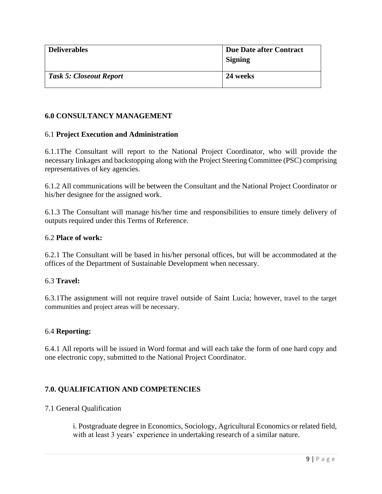| <b>Deliverables</b>            | Due Date after Contract<br><b>Signing</b> |
|--------------------------------|-------------------------------------------|
| <b>Task 5: Closeout Report</b> | 24 weeks                                  |

## **6.0 CONSULTANCY MANAGEMENT**

#### 6.1 **Project Execution and Administration**

6.1.1The Consultant will report to the National Project Coordinator, who will provide the necessary linkages and backstopping along with the Project Steering Committee (PSC) comprising representatives of key agencies.

6.1.2 All communications will be between the Consultant and the National Project Coordinator or his/her designee for the assigned work.

6.1.3 The Consultant will manage his/her time and responsibilities to ensure timely delivery of outputs required under this Terms of Reference.

#### 6.2 **Place of work:**

6.2.1 The Consultant will be based in his/her personal offices, but will be accommodated at the offices of the Department of Sustainable Development when necessary.

### 6.3 **Travel:**

6.3.1The assignment will not require travel outside of Saint Lucia; however, travel to the target communities and project areas will be necessary.

### 6.4 **Reporting:**

6.4.1 All reports will be issued in Word format and will each take the form of one hard copy and one electronic copy, submitted to the National Project Coordinator.

# **7.0. QUALIFICATION AND COMPETENCIES**

#### 7.1 General Qualification

i. Postgraduate degree in Economics, Sociology, Agricultural Economics or related field, with at least 3 years' experience in undertaking research of a similar nature.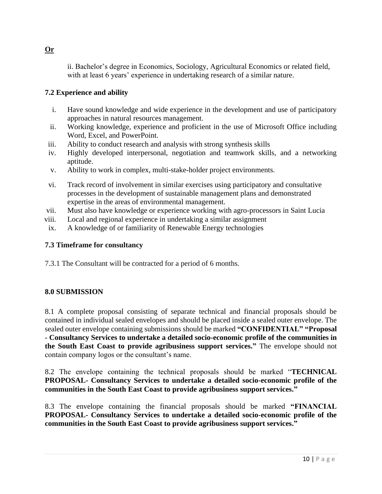ii. Bachelor's degree in Economics, Sociology, Agricultural Economics or related field, with at least 6 years' experience in undertaking research of a similar nature.

# **7.2 Experience and ability**

- i. Have sound knowledge and wide experience in the development and use of participatory approaches in natural resources management.
- ii. Working knowledge, experience and proficient in the use of Microsoft Office including Word, Excel, and PowerPoint.
- iii. Ability to conduct research and analysis with strong synthesis skills
- iv. Highly developed interpersonal, negotiation and teamwork skills, and a networking aptitude.
- v. Ability to work in complex, multi-stake-holder project environments.
- vi. Track record of involvement in similar exercises using participatory and consultative processes in the development of sustainable management plans and demonstrated expertise in the areas of environmental management.
- vii. Must also have knowledge or experience working with agro-processors in Saint Lucia
- viii. Local and regional experience in undertaking a similar assignment
- ix. A knowledge of or familiarity of Renewable Energy technologies

# **7.3 Timeframe for consultancy**

7.3.1 The Consultant will be contracted for a period of 6 months.

# **8.0 SUBMISSION**

8.1 A complete proposal consisting of separate technical and financial proposals should be contained in individual sealed envelopes and should be placed inside a sealed outer envelope. The sealed outer envelope containing submissions should be marked **"CONFIDENTIAL" "Proposal - Consultancy Services to undertake a detailed socio-economic profile of the communities in the South East Coast to provide agribusiness support services."** The envelope should not contain company logos or the consultant's name.

8.2 The envelope containing the technical proposals should be marked "**TECHNICAL PROPOSAL- Consultancy Services to undertake a detailed socio-economic profile of the communities in the South East Coast to provide agribusiness support services."**

8.3 The envelope containing the financial proposals should be marked **"FINANCIAL PROPOSAL- Consultancy Services to undertake a detailed socio-economic profile of the communities in the South East Coast to provide agribusiness support services."** 

# **Or**